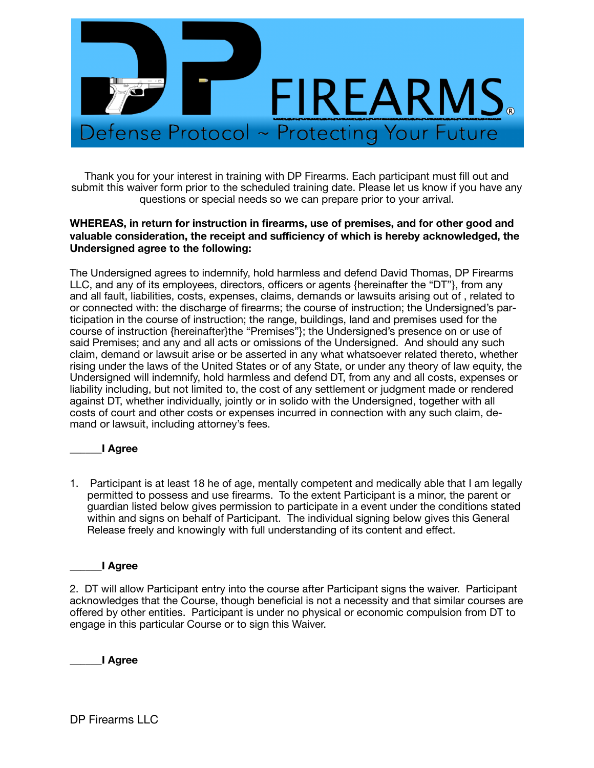

Thank you for your interest in training with DP Firearms. Each participant must fill out and submit this waiver form prior to the scheduled training date. Please let us know if you have any questions or special needs so we can prepare prior to your arrival.

## **WHEREAS, in return for instruction in firearms, use of premises, and for other good and valuable consideration, the receipt and sufficiency of which is hereby acknowledged, the Undersigned agree to the following:**

The Undersigned agrees to indemnify, hold harmless and defend David Thomas, DP Firearms LLC, and any of its employees, directors, officers or agents {hereinafter the "DT"}, from any and all fault, liabilities, costs, expenses, claims, demands or lawsuits arising out of , related to or connected with: the discharge of firearms; the course of instruction; the Undersigned's participation in the course of instruction; the range, buildings, land and premises used for the course of instruction {hereinafter}the "Premises"}; the Undersigned's presence on or use of said Premises; and any and all acts or omissions of the Undersigned. And should any such claim, demand or lawsuit arise or be asserted in any what whatsoever related thereto, whether rising under the laws of the United States or of any State, or under any theory of law equity, the Undersigned will indemnify, hold harmless and defend DT, from any and all costs, expenses or liability including, but not limited to, the cost of any settlement or judgment made or rendered against DT, whether individually, jointly or in solido with the Undersigned, together with all costs of court and other costs or expenses incurred in connection with any such claim, demand or lawsuit, including attorney's fees.

# \_\_\_\_\_\_**I Agree**

1. Participant is at least 18 he of age, mentally competent and medically able that I am legally permitted to possess and use firearms. To the extent Participant is a minor, the parent or guardian listed below gives permission to participate in a event under the conditions stated within and signs on behalf of Participant. The individual signing below gives this General Release freely and knowingly with full understanding of its content and effect.

## \_\_\_\_\_\_**I Agree**

2. DT will allow Participant entry into the course after Participant signs the waiver. Participant acknowledges that the Course, though beneficial is not a necessity and that similar courses are offered by other entities. Participant is under no physical or economic compulsion from DT to engage in this particular Course or to sign this Waiver.

\_\_\_\_\_\_**I Agree**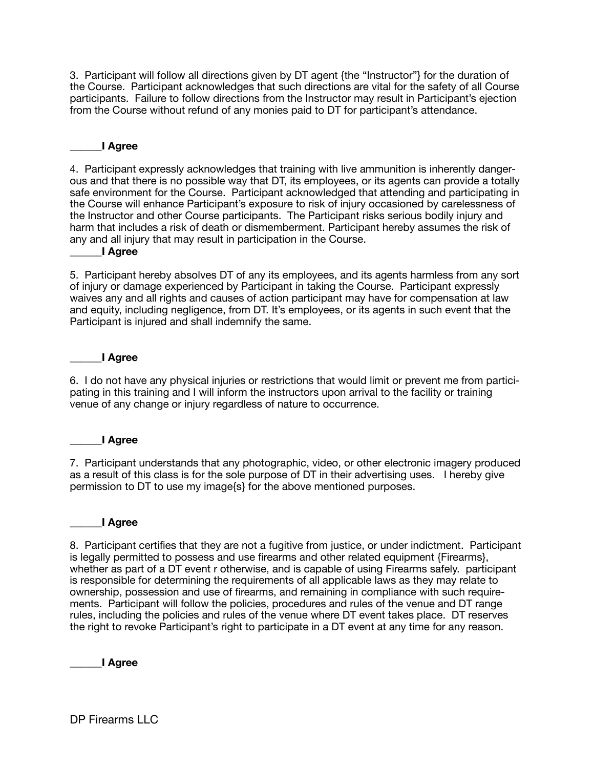3. Participant will follow all directions given by DT agent {the "Instructor"} for the duration of the Course. Participant acknowledges that such directions are vital for the safety of all Course participants. Failure to follow directions from the Instructor may result in Participant's ejection from the Course without refund of any monies paid to DT for participant's attendance.

## \_\_\_\_\_\_**I Agree**

4. Participant expressly acknowledges that training with live ammunition is inherently dangerous and that there is no possible way that DT, its employees, or its agents can provide a totally safe environment for the Course. Participant acknowledged that attending and participating in the Course will enhance Participant's exposure to risk of injury occasioned by carelessness of the Instructor and other Course participants. The Participant risks serious bodily injury and harm that includes a risk of death or dismemberment. Participant hereby assumes the risk of any and all injury that may result in participation in the Course.

#### \_\_\_\_\_\_**I Agree**

5. Participant hereby absolves DT of any its employees, and its agents harmless from any sort of injury or damage experienced by Participant in taking the Course. Participant expressly waives any and all rights and causes of action participant may have for compensation at law and equity, including negligence, from DT. It's employees, or its agents in such event that the Participant is injured and shall indemnify the same.

#### \_\_\_\_\_\_**I Agree**

6. I do not have any physical injuries or restrictions that would limit or prevent me from participating in this training and I will inform the instructors upon arrival to the facility or training venue of any change or injury regardless of nature to occurrence.

## \_\_\_\_\_\_**I Agree**

7. Participant understands that any photographic, video, or other electronic imagery produced as a result of this class is for the sole purpose of DT in their advertising uses. I hereby give permission to DT to use my image{s} for the above mentioned purposes.

#### \_\_\_\_\_\_**I Agree**

8. Participant certifies that they are not a fugitive from justice, or under indictment. Participant is legally permitted to possess and use firearms and other related equipment {Firearms}, whether as part of a DT event r otherwise, and is capable of using Firearms safely. participant is responsible for determining the requirements of all applicable laws as they may relate to ownership, possession and use of firearms, and remaining in compliance with such requirements. Participant will follow the policies, procedures and rules of the venue and DT range rules, including the policies and rules of the venue where DT event takes place. DT reserves the right to revoke Participant's right to participate in a DT event at any time for any reason.

\_\_\_\_\_\_**I Agree**